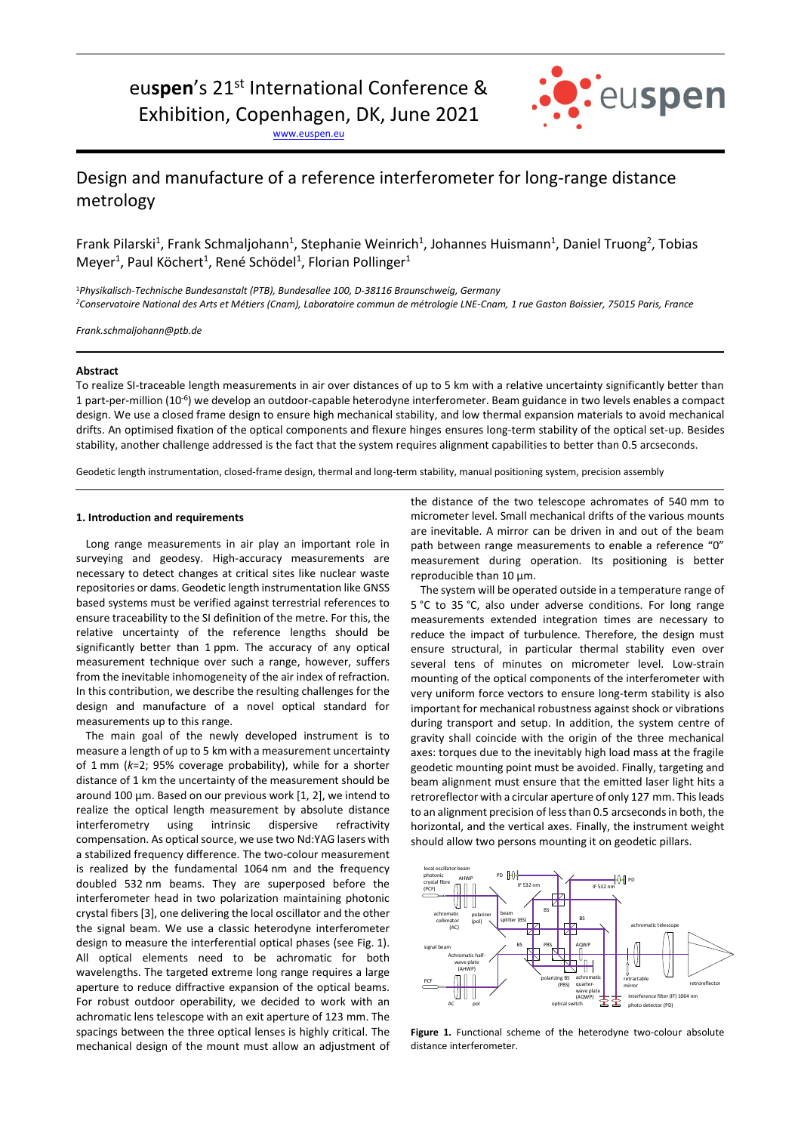# eu**spen**'s 21st International Conference &



Exhibition, Copenhagen, DK, June 2021

[www.euspen.eu](http://www.euspen.eu/)

## Design and manufacture of a reference interferometer for long-range distance metrology

Frank Pilarski<sup>1</sup>, Frank Schmaljohann<sup>1</sup>, Stephanie Weinrich<sup>1</sup>, Johannes Huismann<sup>1</sup>, Daniel Truong<sup>2</sup>, Tobias Meyer<sup>1</sup>, Paul Köchert<sup>1</sup>, René Schödel<sup>1</sup>, Florian Pollinger<sup>1</sup>

<sup>1</sup>*Physikalisch-Technische Bundesanstalt (PTB), Bundesallee 100, D-38116 Braunschweig, Germany <sup>2</sup>Conservatoire National des Arts et Métiers (Cnam), Laboratoire commun de métrologie LNE-Cnam, 1 rue Gaston Boissier, 75015 Paris, France*

*Frank.schmaljohann@ptb.de*

#### **Abstract**

To realize SI-traceable length measurements in air over distances of up to 5 km with a relative uncertainty significantly better than 1 part-per-million (10-6 ) we develop an outdoor-capable heterodyne interferometer. Beam guidance in two levels enables a compact design. We use a closed frame design to ensure high mechanical stability, and low thermal expansion materials to avoid mechanical drifts. An optimised fixation of the optical components and flexure hinges ensures long-term stability of the optical set-up. Besides stability, another challenge addressed is the fact that the system requires alignment capabilities to better than 0.5 arcseconds.

Geodetic length instrumentation, closed-frame design, thermal and long-term stability, manual positioning system, precision assembly

#### **1. Introduction and requirements**

Long range measurements in air play an important role in surveying and geodesy. High-accuracy measurements are necessary to detect changes at critical sites like nuclear waste repositories or dams. Geodetic length instrumentation like GNSS based systems must be verified against terrestrial references to ensure traceability to the SI definition of the metre. For this, the relative uncertainty of the reference lengths should be significantly better than 1 ppm. The accuracy of any optical measurement technique over such a range, however, suffers from the inevitable inhomogeneity of the air index of refraction. In this contribution, we describe the resulting challenges for the design and manufacture of a novel optical standard for measurements up to this range.

The main goal of the newly developed instrument is to measure a length of up to 5 km with a measurement uncertainty of 1 mm (*k*=2; 95% coverage probability), while for a shorter distance of 1 km the uncertainty of the measurement should be around 100  $\mu$ m. Based on our previous work [1, 2], we intend to realize the optical length measurement by absolute distance interferometry using intrinsic dispersive refractivity compensation. As optical source, we use two Nd:YAG lasers with a stabilized frequency difference. The two-colour measurement is realized by the fundamental 1064 nm and the frequency doubled 532 nm beams. They are superposed before the interferometer head in two polarization maintaining photonic crystal fibers [3], one delivering the local oscillator and the other the signal beam. We use a classic heterodyne interferometer design to measure the interferential optical phases (see Fig. 1). All optical elements need to be achromatic for both wavelengths. The targeted extreme long range requires a large aperture to reduce diffractive expansion of the optical beams. For robust outdoor operability, we decided to work with an achromatic lens telescope with an exit aperture of 123 mm. The spacings between the three optical lenses is highly critical. The mechanical design of the mount must allow an adjustment of the distance of the two telescope achromates of 540 mm to micrometer level. Small mechanical drifts of the various mounts are inevitable. A mirror can be driven in and out of the beam path between range measurements to enable a reference "0" measurement during operation. Its positioning is better reproducible than 10 µm.

The system will be operated outside in a temperature range of 5 °C to 35 °C, also under adverse conditions. For long range measurements extended integration times are necessary to reduce the impact of turbulence. Therefore, the design must ensure structural, in particular thermal stability even over several tens of minutes on micrometer level. Low-strain mounting of the optical components of the interferometer with very uniform force vectors to ensure long-term stability is also important for mechanical robustness against shock or vibrations during transport and setup. In addition, the system centre of gravity shall coincide with the origin of the three mechanical axes: torques due to the inevitably high load mass at the fragile geodetic mounting point must be avoided. Finally, targeting and beam alignment must ensure that the emitted laser light hits a retroreflector with a circular aperture of only 127 mm. This leads to an alignment precision of less than 0.5 arcseconds in both, the horizontal, and the vertical axes. Finally, the instrument weight should allow two persons mounting it on geodetic pillars.



**Figure 1.** Functional scheme of the heterodyne two-colour absolute distance interferometer.